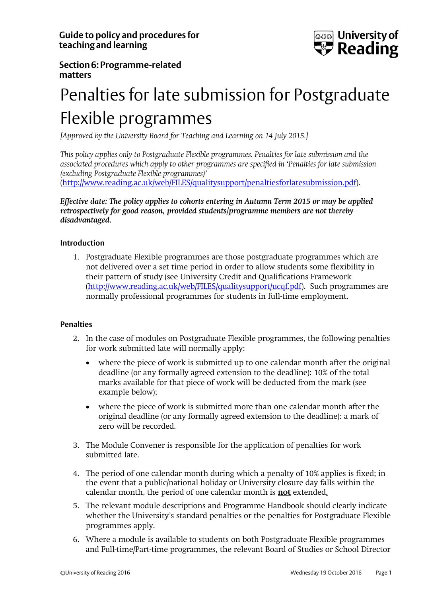

# **Section6: Programme-related matters**

# Penalties for late submission for Postgraduate Flexible programmes

*[Approved by the University Board for Teaching and Learning on 14 July 2015.]*

*This policy applies only to Postgraduate Flexible programmes. Penalties for late submission and the associated procedures which apply to other programmes are specified in 'Penalties for late submission (excluding Postgraduate Flexible programmes)'*

[\(http://www.reading.ac.uk/web/FILES/qualitysupport/penaltiesforlatesubmission.pdf\)](http://www.reading.ac.uk/web/FILES/qualitysupport/penaltiesforlatesubmission.pdf).

*Effective date: The policy applies to cohorts entering in Autumn Term 2015 or may be applied retrospectively for good reason, provided students/programme members are not thereby disadvantaged.*

## **Introduction**

1. Postgraduate Flexible programmes are those postgraduate programmes which are not delivered over a set time period in order to allow students some flexibility in their pattern of study (see University Credit and Qualifications Framework [\(http://www.reading.ac.uk/web/FILES/qualitysupport/ucqf.pdf\)](http://www.reading.ac.uk/web/FILES/qualitysupport/ucqf.pdf). Such programmes are normally professional programmes for students in full-time employment.

## **Penalties**

- 2. In the case of modules on Postgraduate Flexible programmes, the following penalties for work submitted late will normally apply:
	- where the piece of work is submitted up to one calendar month after the original deadline (or any formally agreed extension to the deadline): 10% of the total marks available for that piece of work will be deducted from the mark (see example below);
	- where the piece of work is submitted more than one calendar month after the original deadline (or any formally agreed extension to the deadline): a mark of zero will be recorded.
- 3. The Module Convener is responsible for the application of penalties for work submitted late.
- 4. The period of one calendar month during which a penalty of 10% applies is fixed; in the event that a public/national holiday or University closure day falls within the calendar month, the period of one calendar month is **not** extended.
- 5. The relevant module descriptions and Programme Handbook should clearly indicate whether the University's standard penalties or the penalties for Postgraduate Flexible programmes apply.
- 6. Where a module is available to students on both Postgraduate Flexible programmes and Full-time/Part-time programmes, the relevant Board of Studies or School Director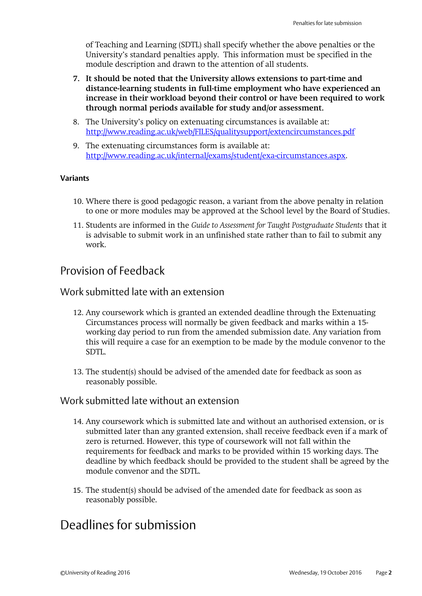of Teaching and Learning (SDTL) shall specify whether the above penalties or the University's standard penalties apply. This information must be specified in the module description and drawn to the attention of all students.

- **7. It should be noted that the University allows extensions to part-time and distance-learning students in full-time employment who have experienced an increase in their workload beyond their control or have been required to work through normal periods available for study and/or assessment.**
- 8. The University's policy on extenuating circumstances is available at: <http://www.reading.ac.uk/web/FILES/qualitysupport/extencircumstances.pdf>
- 9. The extenuating circumstances form is available at: [http://www.reading.ac.uk/internal/exams/student/exa-circumstances.aspx.](http://www.reading.ac.uk/internal/exams/student/exa-circumstances.aspx)

#### **Variants**

- 10. Where there is good pedagogic reason, a variant from the above penalty in relation to one or more modules may be approved at the School level by the Board of Studies.
- 11. Students are informed in the *Guide to Assessment for Taught Postgraduate Students* that it is advisable to submit work in an unfinished state rather than to fail to submit any work.

# Provision of Feedback

# Work submitted late with an extension

- 12. Any coursework which is granted an extended deadline through the Extenuating Circumstances process will normally be given feedback and marks within a 15 working day period to run from the amended submission date. Any variation from this will require a case for an exemption to be made by the module convenor to the SDTL.
- 13. The student(s) should be advised of the amended date for feedback as soon as reasonably possible.

## Work submitted late without an extension

- 14. Any coursework which is submitted late and without an authorised extension, or is submitted later than any granted extension, shall receive feedback even if a mark of zero is returned. However, this type of coursework will not fall within the requirements for feedback and marks to be provided within 15 working days. The deadline by which feedback should be provided to the student shall be agreed by the module convenor and the SDTL.
- 15. The student(s) should be advised of the amended date for feedback as soon as reasonably possible.

# Deadlines for submission